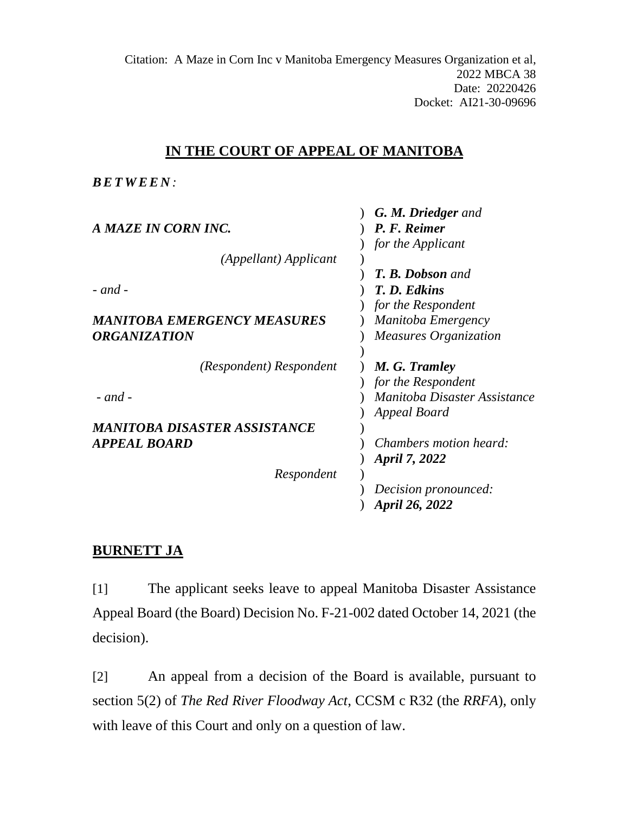Citation: A Maze in Corn Inc v Manitoba Emergency Measures Organization et al, 2022 MBCA 38 Date: 20220426 Docket: AI21-30-09696

# **IN THE COURT OF APPEAL OF MANITOBA**

*BETWEE N :*

| <b>G. M. Driedger</b> and    |
|------------------------------|
| P. F. Reimer                 |
| for the Applicant            |
|                              |
| <b>T. B. Dobson and</b>      |
| T. D. Edkins                 |
| for the Respondent           |
| Manitoba Emergency           |
| <b>Measures Organization</b> |
|                              |
| M. G. Tramley                |
| for the Respondent           |
| Manitoba Disaster Assistance |
| Appeal Board                 |
|                              |
| Chambers motion heard:       |
| April 7, 2022                |
|                              |
| Decision pronounced:         |
| April 26, 2022               |
|                              |

# **BURNETT JA**

[1] The applicant seeks leave to appeal Manitoba Disaster Assistance Appeal Board (the Board) Decision No. F-21-002 dated October 14, 2021 (the decision).

[2] An appeal from a decision of the Board is available, pursuant to section 5(2) of *The Red River Floodway Act*, CCSM c R32 (the *RRFA*), only with leave of this Court and only on a question of law.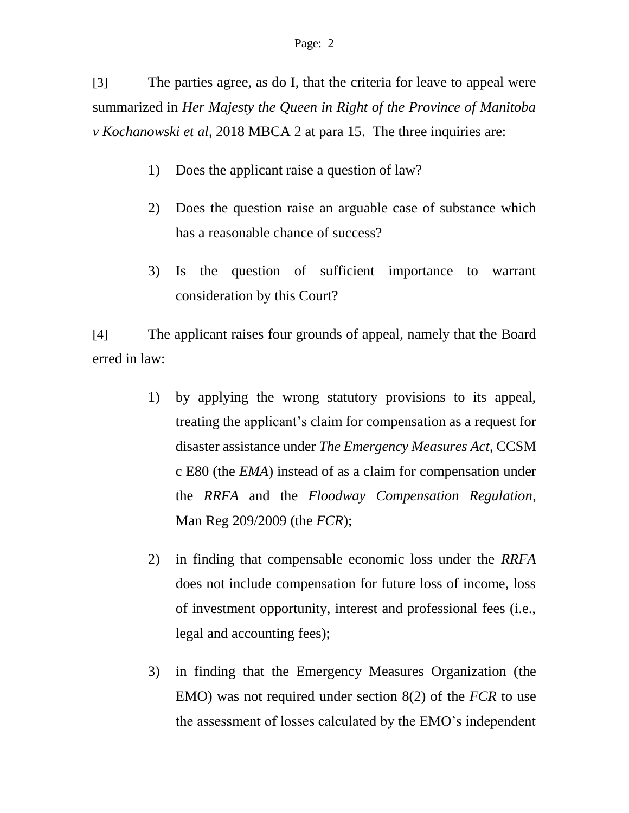[3] The parties agree, as do I, that the criteria for leave to appeal were summarized in *Her Majesty the Queen in Right of the Province of Manitoba v Kochanowski et al*, 2018 MBCA 2 at para 15. The three inquiries are:

- 1) Does the applicant raise a question of law?
- 2) Does the question raise an arguable case of substance which has a reasonable chance of success?
- 3) Is the question of sufficient importance to warrant consideration by this Court?

[4] The applicant raises four grounds of appeal, namely that the Board erred in law:

- 1) by applying the wrong statutory provisions to its appeal, treating the applicant's claim for compensation as a request for disaster assistance under *The Emergency Measures Act*, CCSM c E80 (the *EMA*) instead of as a claim for compensation under the *RRFA* and the *Floodway Compensation Regulation*, Man Reg 209/2009 (the *FCR*);
- 2) in finding that compensable economic loss under the *RRFA* does not include compensation for future loss of income, loss of investment opportunity, interest and professional fees (i.e., legal and accounting fees);
- 3) in finding that the Emergency Measures Organization (the EMO) was not required under section 8(2) of the *FCR* to use the assessment of losses calculated by the EMO's independent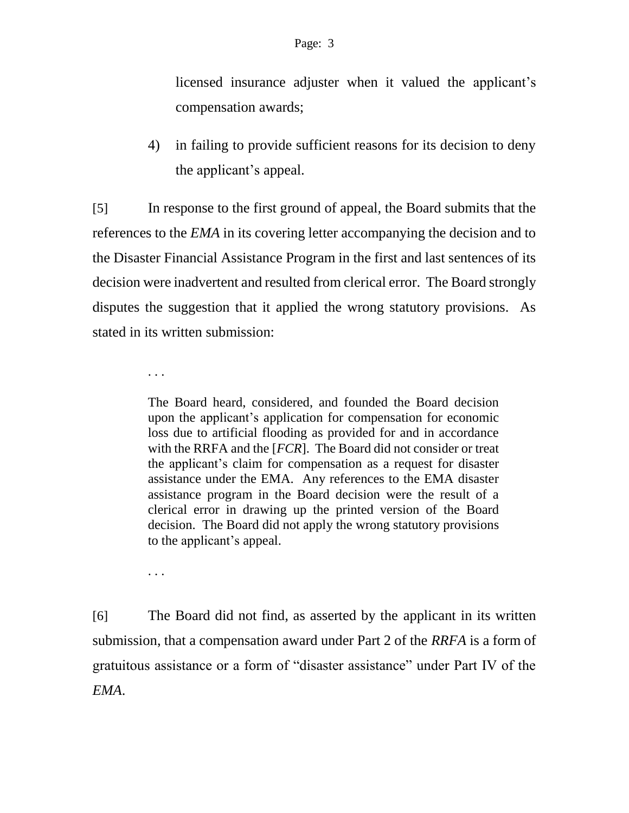licensed insurance adjuster when it valued the applicant's compensation awards;

4) in failing to provide sufficient reasons for its decision to deny the applicant's appeal.

[5] In response to the first ground of appeal, the Board submits that the references to the *EMA* in its covering letter accompanying the decision and to the Disaster Financial Assistance Program in the first and last sentences of its decision were inadvertent and resulted from clerical error. The Board strongly disputes the suggestion that it applied the wrong statutory provisions. As stated in its written submission:

. . .

The Board heard, considered, and founded the Board decision upon the applicant's application for compensation for economic loss due to artificial flooding as provided for and in accordance with the RRFA and the [*FCR*]. The Board did not consider or treat the applicant's claim for compensation as a request for disaster assistance under the EMA. Any references to the EMA disaster assistance program in the Board decision were the result of a clerical error in drawing up the printed version of the Board decision. The Board did not apply the wrong statutory provisions to the applicant's appeal.

. . .

[6] The Board did not find, as asserted by the applicant in its written submission, that a compensation award under Part 2 of the *RRFA* is a form of gratuitous assistance or a form of "disaster assistance" under Part IV of the *EMA*.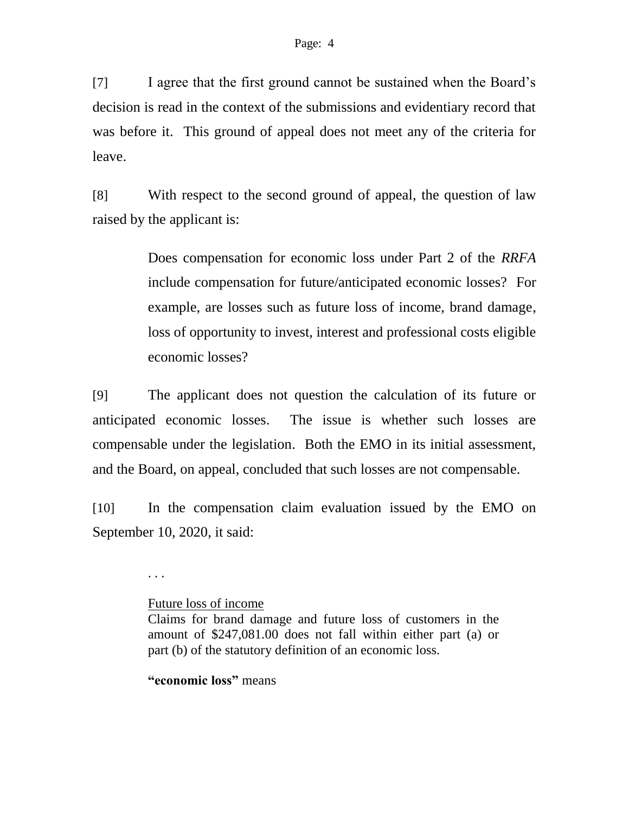[7] I agree that the first ground cannot be sustained when the Board's decision is read in the context of the submissions and evidentiary record that was before it. This ground of appeal does not meet any of the criteria for leave.

[8] With respect to the second ground of appeal, the question of law raised by the applicant is:

> Does compensation for economic loss under Part 2 of the *RRFA* include compensation for future/anticipated economic losses? For example, are losses such as future loss of income, brand damage, loss of opportunity to invest, interest and professional costs eligible economic losses?

[9] The applicant does not question the calculation of its future or anticipated economic losses. The issue is whether such losses are compensable under the legislation. Both the EMO in its initial assessment, and the Board, on appeal, concluded that such losses are not compensable.

[10] In the compensation claim evaluation issued by the EMO on September 10, 2020, it said:

. . .

### Future loss of income

**"economic loss"** means

Claims for brand damage and future loss of customers in the amount of \$247,081.00 does not fall within either part (a) or part (b) of the statutory definition of an economic loss.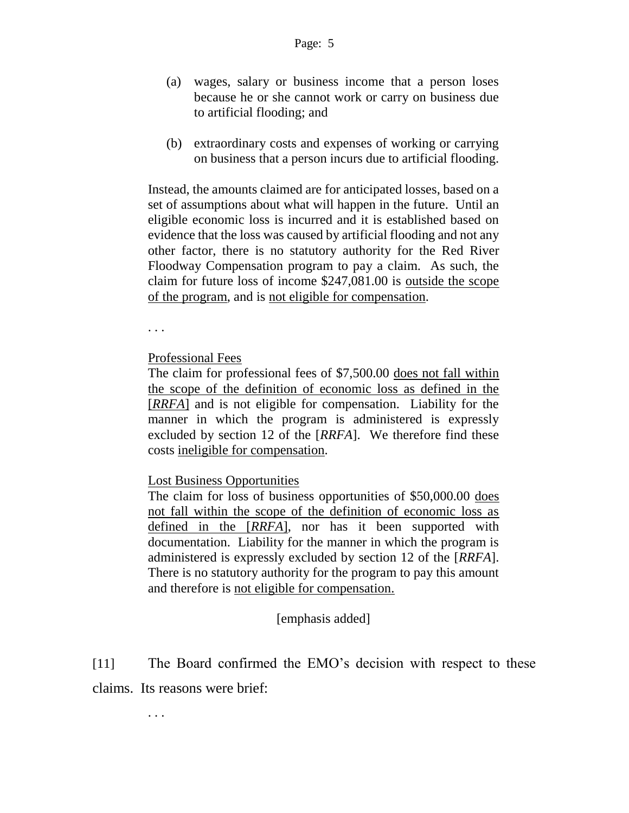- (a) wages, salary or business income that a person loses because he or she cannot work or carry on business due to artificial flooding; and
- (b) extraordinary costs and expenses of working or carrying on business that a person incurs due to artificial flooding.

Instead, the amounts claimed are for anticipated losses, based on a set of assumptions about what will happen in the future. Until an eligible economic loss is incurred and it is established based on evidence that the loss was caused by artificial flooding and not any other factor, there is no statutory authority for the Red River Floodway Compensation program to pay a claim. As such, the claim for future loss of income \$247,081.00 is outside the scope of the program, and is not eligible for compensation.

. . .

Professional Fees

The claim for professional fees of \$7,500.00 does not fall within the scope of the definition of economic loss as defined in the [*RRFA*] and is not eligible for compensation. Liability for the manner in which the program is administered is expressly excluded by section 12 of the [*RRFA*]. We therefore find these costs ineligible for compensation.

Lost Business Opportunities

The claim for loss of business opportunities of \$50,000.00 does not fall within the scope of the definition of economic loss as defined in the [*RRFA*], nor has it been supported with documentation. Liability for the manner in which the program is administered is expressly excluded by section 12 of the [*RRFA*]. There is no statutory authority for the program to pay this amount and therefore is not eligible for compensation.

[emphasis added]

[11] The Board confirmed the EMO's decision with respect to these claims. Its reasons were brief:

. . .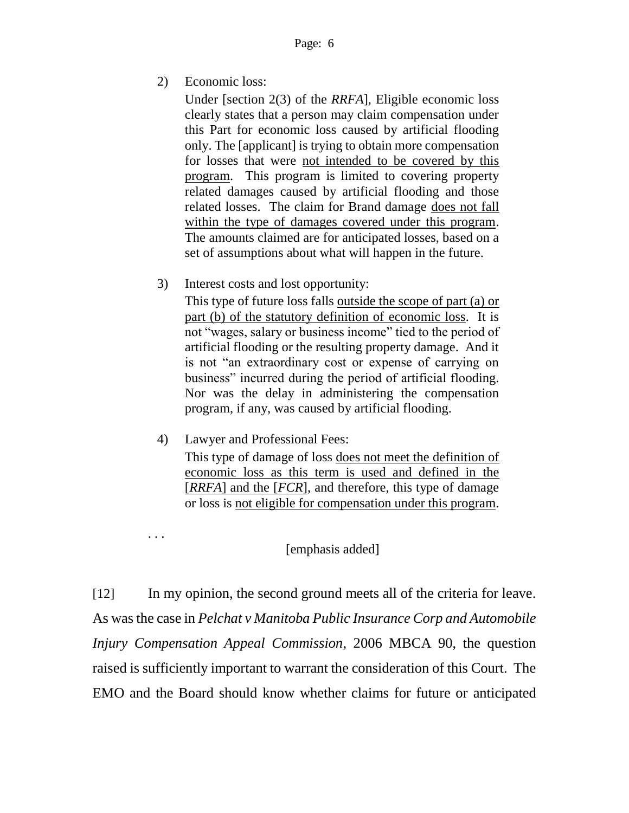2) Economic loss:

Under [section 2(3) of the *RRFA*], Eligible economic loss clearly states that a person may claim compensation under this Part for economic loss caused by artificial flooding only. The [applicant] is trying to obtain more compensation for losses that were not intended to be covered by this program. This program is limited to covering property related damages caused by artificial flooding and those related losses. The claim for Brand damage does not fall within the type of damages covered under this program. The amounts claimed are for anticipated losses, based on a set of assumptions about what will happen in the future.

3) Interest costs and lost opportunity:

This type of future loss falls <u>outside the scope of part (a) or</u> part (b) of the statutory definition of economic loss. It is not "wages, salary or business income" tied to the period of artificial flooding or the resulting property damage. And it is not "an extraordinary cost or expense of carrying on business" incurred during the period of artificial flooding. Nor was the delay in administering the compensation program, if any, was caused by artificial flooding.

4) Lawyer and Professional Fees:

. . .

This type of damage of loss does not meet the definition of economic loss as this term is used and defined in the [*RRFA*] and the [*FCR*], and therefore, this type of damage or loss is not eligible for compensation under this program.

### [emphasis added]

[12] In my opinion, the second ground meets all of the criteria for leave. As was the case in *Pelchat v Manitoba Public Insurance Corp and Automobile Injury Compensation Appeal Commission*, 2006 MBCA 90, the question raised is sufficiently important to warrant the consideration of this Court. The EMO and the Board should know whether claims for future or anticipated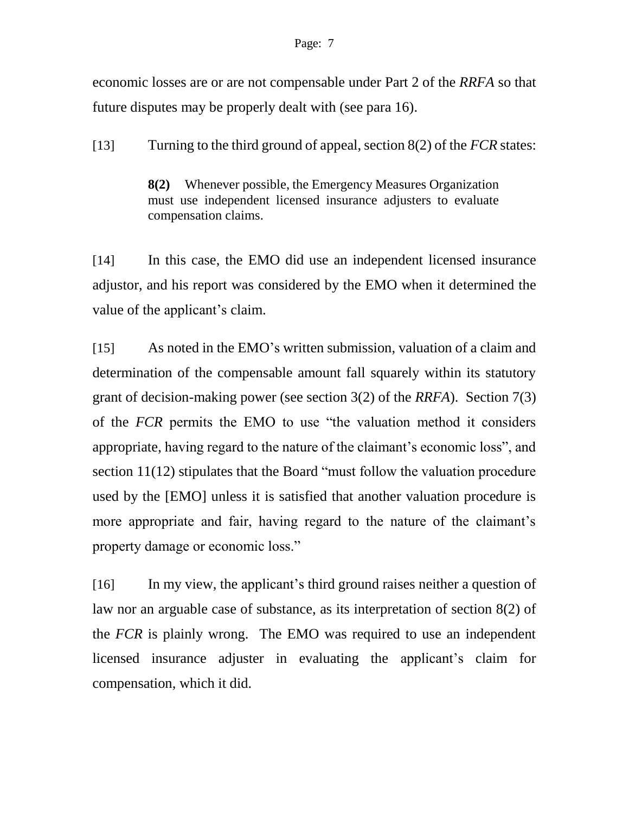#### Page: 7

economic losses are or are not compensable under Part 2 of the *RRFA* so that future disputes may be properly dealt with (see para 16).

[13] Turning to the third ground of appeal, section 8(2) of the *FCR* states:

**8(2)** Whenever possible, the Emergency Measures Organization must use independent licensed insurance adjusters to evaluate compensation claims.

[14] In this case, the EMO did use an independent licensed insurance adjustor, and his report was considered by the EMO when it determined the value of the applicant's claim.

[15] As noted in the EMO's written submission, valuation of a claim and determination of the compensable amount fall squarely within its statutory grant of decision-making power (see section 3(2) of the *RRFA*). Section 7(3) of the *FCR* permits the EMO to use "the valuation method it considers appropriate, having regard to the nature of the claimant's economic loss", and section 11(12) stipulates that the Board "must follow the valuation procedure used by the [EMO] unless it is satisfied that another valuation procedure is more appropriate and fair, having regard to the nature of the claimant's property damage or economic loss."

[16] In my view, the applicant's third ground raises neither a question of law nor an arguable case of substance, as its interpretation of section 8(2) of the *FCR* is plainly wrong. The EMO was required to use an independent licensed insurance adjuster in evaluating the applicant's claim for compensation, which it did.